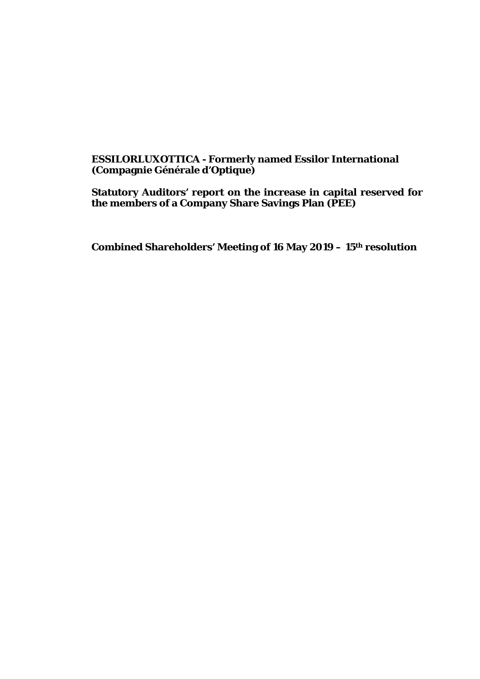# **ESSILORLUXOTTICA - Formerly named Essilor International (Compagnie Générale d'Optique)**

**Statutory Auditors' report on the increase in capital reserved for the members of a Company Share Savings Plan (PEE)**

**Combined Shareholders' Meeting of 16 May 2019 – 15th resolution**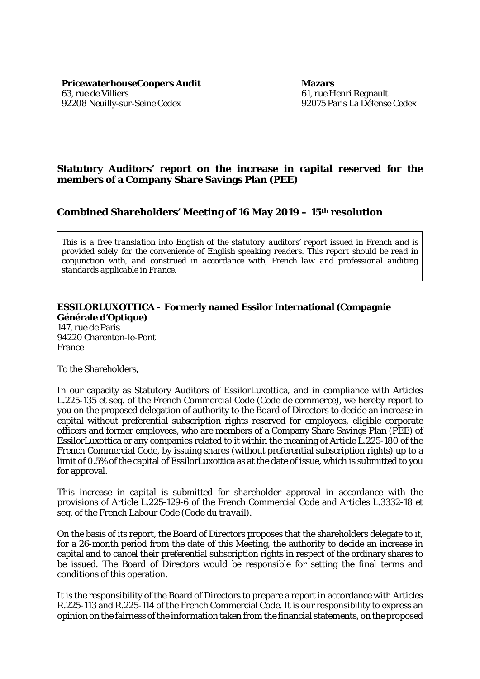**PricewaterhouseCoopers Audit Mazars** 63, rue de Villiers 92208 Neuilly-sur-Seine Cedex

61, rue Henri Regnault 92075 Paris La Défense Cedex

## **Statutory Auditors' report on the increase in capital reserved for the members of a Company Share Savings Plan (PEE)**

### **Combined Shareholders' Meeting of 16 May 2019 – 15th resolution**

*This is a free translation into English of the statutory auditors' report issued in French and is provided solely for the convenience of English speaking readers. This report should be read in conjunction with, and construed in accordance with, French law and professional auditing standards applicable in France.*

#### **ESSILORLUXOTTICA - Formerly named Essilor International (Compagnie Générale d'Optique)**

147, rue de Paris 94220 Charenton-le-Pont France

To the Shareholders,

In our capacity as Statutory Auditors of EssilorLuxottica, and in compliance with Articles L.225-135 *et seq.* of the French Commercial Code *(Code de commerce)*, we hereby report to you on the proposed delegation of authority to the Board of Directors to decide an increase in capital without preferential subscription rights reserved for employees, eligible corporate officers and former employees, who are members of a Company Share Savings Plan (PEE) of EssilorLuxottica or any companies related to it within the meaning of Article L.225-180 of the French Commercial Code, by issuing shares (without preferential subscription rights) up to a limit of 0.5% of the capital of EssilorLuxottica as at the date of issue, which is submitted to you for approval.

This increase in capital is submitted for shareholder approval in accordance with the provisions of Article L.225-129-6 of the French Commercial Code and Articles L.3332-18 *et seq.* of the French Labour Code *(Code du travail)*.

On the basis of its report, the Board of Directors proposes that the shareholders delegate to it, for a 26-month period from the date of this Meeting, the authority to decide an increase in capital and to cancel their preferential subscription rights in respect of the ordinary shares to be issued. The Board of Directors would be responsible for setting the final terms and conditions of this operation.

It is the responsibility of the Board of Directors to prepare a report in accordance with Articles R.225-113 and R.225-114 of the French Commercial Code. It is our responsibility to express an opinion on the fairness of the information taken from the financial statements, on the proposed